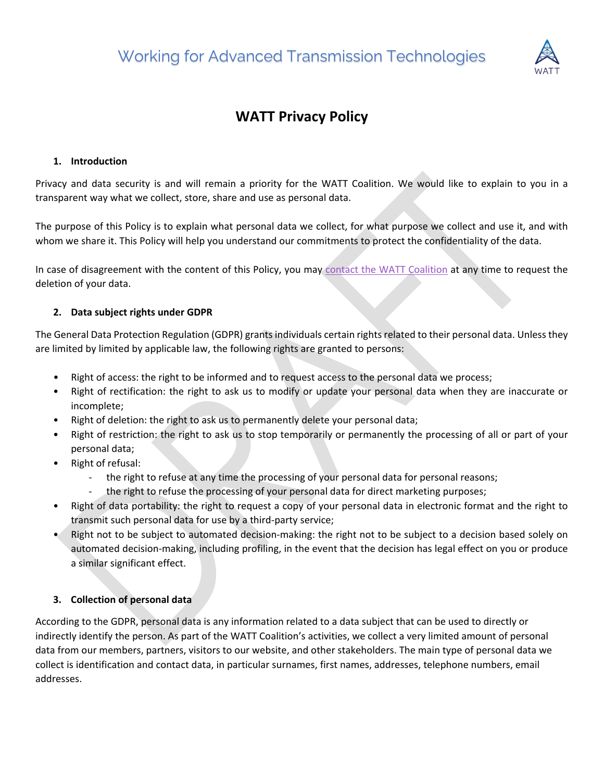

# **WATT Privacy Policy**

#### **1. Introduction**

Privacy and data security is and will remain a priority for the WATT Coalition. We would like to explain to you in a transparent way what we collect, store, share and use as personal data.

The purpose of this Policy is to explain what personal data we collect, for what purpose we collect and use it, and with whom we share it. This Policy will help you understand our commitments to protect the confidentiality of the data.

In case of disagreement with the content of this Policy, you may [contact the WATT](https://watt-transmission.org/contact-us/) Coalition at any time to request the deletion of your data.

## **2. [Data subject rights under GDPR](https://www.i-scoop.eu/gdpr/data-subject-rights-gdpr/)**

The General Data Protection Regulation (GDPR) grants individuals certain rights related to their personal data. Unless they are limited by limited by applicable law, the following rights are granted to persons:

- Right of access: the right to be informed and to request access to the personal data we process;
- Right of rectification: the right to ask us to modify or update your personal data when they are inaccurate or incomplete;
- Right of deletion: the right to ask us to permanently delete your personal data;
- Right of restriction: the right to ask us to stop temporarily or permanently the processing of all or part of your personal data;
- Right of refusal:
	- the right to refuse at any time the processing of your personal data for personal reasons;
	- the right to refuse the processing of your personal data for direct marketing purposes;
- Right of data portability: the right to request a copy of your personal data in electronic format and the right to transmit such personal data for use by a third-party service;
- Right not to be subject to automated decision-making: the right not to be subject to a decision based solely on automated decision-making, including profiling, in the event that the decision has legal effect on you or produce a similar significant effect.

## **3. Collection of personal data**

According to the GDPR, personal data is any information related to a data subject that can be used to directly or indirectly identify the person. As part of the WATT Coalition's activities, we collect a very limited amount of personal data from our members, partners, visitors to our website, and other stakeholders. The main type of personal data we collect is identification and contact data, in particular surnames, first names, addresses, telephone numbers, email addresses.